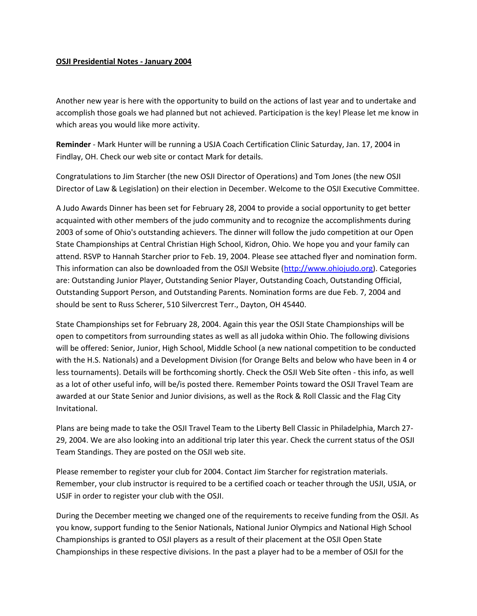## **OSJI Presidential Notes - January 2004**

Another new year is here with the opportunity to build on the actions of last year and to undertake and accomplish those goals we had planned but not achieved. Participation is the key! Please let me know in which areas you would like more activity.

**Reminder** - Mark Hunter will be running a USJA Coach Certification Clinic Saturday, Jan. 17, 2004 in Findlay, OH. Check our web site or contact Mark for details.

Congratulations to Jim Starcher (the new OSJI Director of Operations) and Tom Jones (the new OSJI Director of Law & Legislation) on their election in December. Welcome to the OSJI Executive Committee.

A Judo Awards Dinner has been set for February 28, 2004 to provide a social opportunity to get better acquainted with other members of the judo community and to recognize the accomplishments during 2003 of some of Ohio's outstanding achievers. The dinner will follow the judo competition at our Open State Championships at Central Christian High School, Kidron, Ohio. We hope you and your family can attend. RSVP to Hannah Starcher prior to Feb. 19, 2004. Please see attached flyer and nomination form. This information can also be downloaded from the OSJI Website [\(http://www.ohiojudo.org\)](http://www.ohiojudo.com/). Categories are: Outstanding Junior Player, Outstanding Senior Player, Outstanding Coach, Outstanding Official, Outstanding Support Person, and Outstanding Parents. Nomination forms are due Feb. 7, 2004 and should be sent to Russ Scherer, 510 Silvercrest Terr., Dayton, OH 45440.

State Championships set for February 28, 2004. Again this year the OSJI State Championships will be open to competitors from surrounding states as well as all judoka within Ohio. The following divisions will be offered: Senior, Junior, High School, Middle School (a new national competition to be conducted with the H.S. Nationals) and a Development Division (for Orange Belts and below who have been in 4 or less tournaments). Details will be forthcoming shortly. Check the OSJI Web Site often - this info, as well as a lot of other useful info, will be/is posted there. Remember Points toward the OSJI Travel Team are awarded at our State Senior and Junior divisions, as well as the Rock & Roll Classic and the Flag City Invitational.

Plans are being made to take the OSJI Travel Team to the Liberty Bell Classic in Philadelphia, March 27- 29, 2004. We are also looking into an additional trip later this year. Check the current status of the OSJI Team Standings. They are posted on the OSJI web site.

Please remember to register your club for 2004. Contact Jim Starcher for registration materials. Remember, your club instructor is required to be a certified coach or teacher through the USJI, USJA, or USJF in order to register your club with the OSJI.

During the December meeting we changed one of the requirements to receive funding from the OSJI. As you know, support funding to the Senior Nationals, National Junior Olympics and National High School Championships is granted to OSJI players as a result of their placement at the OSJI Open State Championships in these respective divisions. In the past a player had to be a member of OSJI for the